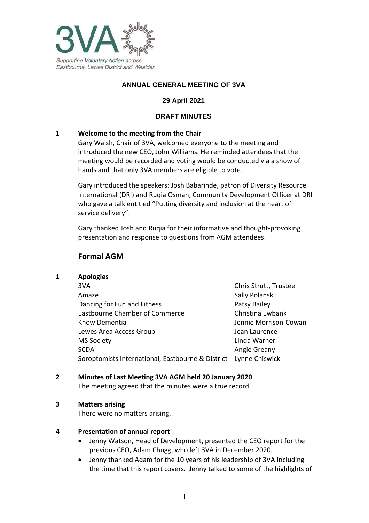

# **ANNUAL GENERAL MEETING OF 3VA**

# **29 April 2021**

### **DRAFT MINUTES**

### **1 Welcome to the meeting from the Chair**

Gary Walsh, Chair of 3VA, welcomed everyone to the meeting and introduced the new CEO, John Williams. He reminded attendees that the meeting would be recorded and voting would be conducted via a show of hands and that only 3VA members are eligible to vote.

Gary introduced the speakers: Josh Babarinde, patron of Diversity Resource International (DRI) and Ruqia Osman, Community Development Officer at DRI who gave a talk entitled "Putting diversity and inclusion at the heart of service delivery".

Gary thanked Josh and Ruqia for their informative and thought-provoking presentation and response to questions from AGM attendees.

# **Formal AGM**

#### **1 Apologies**

3VA Chris Strutt, Trustee Amaze Sally Polanski Dancing for Fun and Fitness **Patsy Bailey** Patsy Bailey Eastbourne Chamber of Commerce Christina Ewbank Know Dementia  $\Box$  Jennie Morrison-Cowan Lewes Area Access Group Lewes Area Access Group MS Society Linda Warner SCDA **Angie Greany** Angie Greany Soroptomists International, Eastbourne & District Lynne Chiswick

#### **2 Minutes of Last Meeting 3VA AGM held 20 January 2020**

The meeting agreed that the minutes were a true record.

#### **3 Matters arising**

There were no matters arising.

#### **4 Presentation of annual report**

- Jenny Watson, Head of Development, presented the CEO report for the previous CEO, Adam Chugg, who left 3VA in December 2020.
- Jenny thanked Adam for the 10 years of his leadership of 3VA including the time that this report covers. Jenny talked to some of the highlights of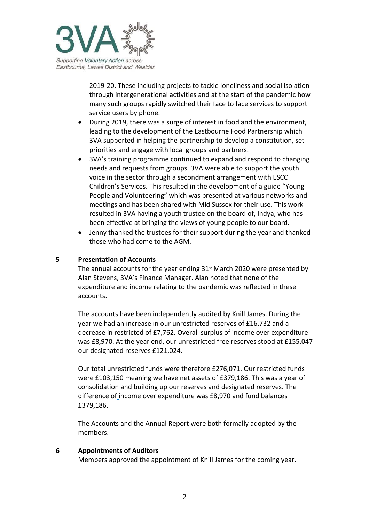

2019-20. These including projects to tackle loneliness and social isolation through intergenerational activities and at the start of the pandemic how many such groups rapidly switched their face to face services to support service users by phone.

- During 2019, there was a surge of interest in food and the environment, leading to the development of the Eastbourne Food Partnership which 3VA supported in helping the partnership to develop a constitution, set priorities and engage with local groups and partners.
- 3VA's training programme continued to expand and respond to changing needs and requests from groups. 3VA were able to support the youth voice in the sector through a secondment arrangement with ESCC Children's Services. This resulted in the development of a guide "Young People and Volunteering" which was presented at various networks and meetings and has been shared with Mid Sussex for their use. This work resulted in 3VA having a youth trustee on the board of, Indya, who has been effective at bringing the views of young people to our board.
- Jenny thanked the trustees for their support during the year and thanked those who had come to the AGM.

#### **5 Presentation of Accounts**

The annual accounts for the year ending  $31<sup>st</sup>$  March 2020 were presented by Alan Stevens, 3VA's Finance Manager. Alan noted that none of the expenditure and income relating to the pandemic was reflected in these accounts.

The accounts have been independently audited by Knill James. During the year we had an increase in our unrestricted reserves of £16,732 and a decrease in restricted of £7,762. Overall surplus of income over expenditure was £8,970. At the year end, our unrestricted free reserves stood at £155,047 our designated reserves £121,024.

Our total unrestricted funds were therefore £276,071. Our restricted funds were £103,150 meaning we have net assets of £379,186. This was a year of consolidation and building up our reserves and designated reserves. The difference of income over expenditure was £8,970 and fund balances £379,186.

The Accounts and the Annual Report were both formally adopted by the members.

#### **6 Appointments of Auditors**

Members approved the appointment of Knill James for the coming year.